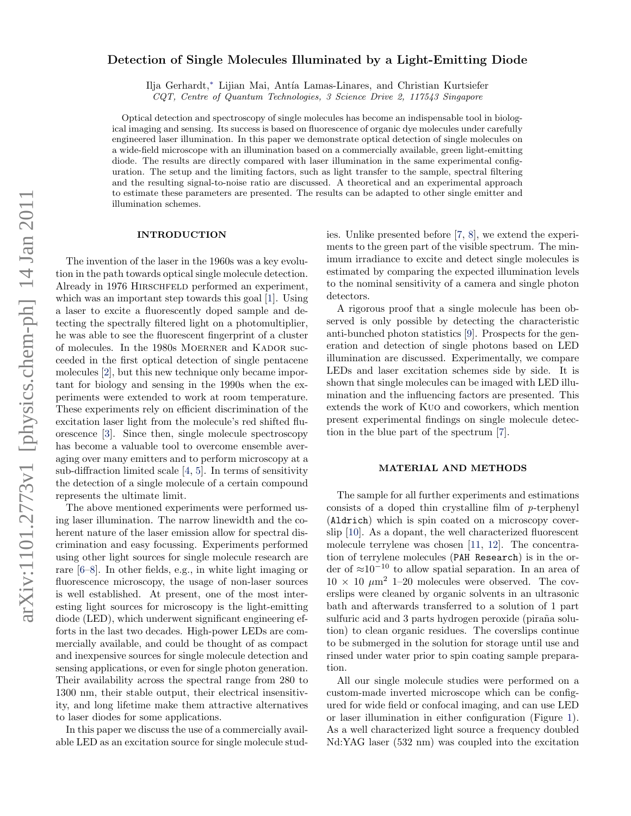# Detection of Single Molecules Illuminated by a Light-Emitting Diode

Ilja Gerhardt,[∗](#page-6-0) Lijian Mai, Ant´ıa Lamas-Linares, and Christian Kurtsiefer

CQT, Centre of Quantum Technologies, 3 Science Drive 2, 117543 Singapore

Optical detection and spectroscopy of single molecules has become an indispensable tool in biological imaging and sensing. Its success is based on fluorescence of organic dye molecules under carefully engineered laser illumination. In this paper we demonstrate optical detection of single molecules on a wide-field microscope with an illumination based on a commercially available, green light-emitting diode. The results are directly compared with laser illumination in the same experimental configuration. The setup and the limiting factors, such as light transfer to the sample, spectral filtering and the resulting signal-to-noise ratio are discussed. A theoretical and an experimental approach to estimate these parameters are presented. The results can be adapted to other single emitter and illumination schemes.

#### INTRODUCTION

The invention of the laser in the 1960s was a key evolution in the path towards optical single molecule detection. Already in 1976 HIRSCHFELD performed an experiment, which was an important step towards this goal [\[1\]](#page-6-1). Using a laser to excite a fluorescently doped sample and detecting the spectrally filtered light on a photomultiplier, he was able to see the fluorescent fingerprint of a cluster of molecules. In the 1980s MOERNER and KADOR succeeded in the first optical detection of single pentacene molecules [\[2\]](#page-6-2), but this new technique only became important for biology and sensing in the 1990s when the experiments were extended to work at room temperature. These experiments rely on efficient discrimination of the excitation laser light from the molecule's red shifted fluorescence [\[3\]](#page-6-3). Since then, single molecule spectroscopy has become a valuable tool to overcome ensemble averaging over many emitters and to perform microscopy at a sub-diffraction limited scale [\[4,](#page-6-4) [5\]](#page-6-5). In terms of sensitivity the detection of a single molecule of a certain compound represents the ultimate limit.

The above mentioned experiments were performed using laser illumination. The narrow linewidth and the coherent nature of the laser emission allow for spectral discrimination and easy focussing. Experiments performed using other light sources for single molecule research are rare [\[6](#page-6-6)[–8\]](#page-6-7). In other fields, e.g., in white light imaging or fluorescence microscopy, the usage of non-laser sources is well established. At present, one of the most interesting light sources for microscopy is the light-emitting diode (LED), which underwent significant engineering efforts in the last two decades. High-power LEDs are commercially available, and could be thought of as compact and inexpensive sources for single molecule detection and sensing applications, or even for single photon generation. Their availability across the spectral range from 280 to 1300 nm, their stable output, their electrical insensitivity, and long lifetime make them attractive alternatives to laser diodes for some applications.

In this paper we discuss the use of a commercially available LED as an excitation source for single molecule studies. Unlike presented before [\[7,](#page-6-8) [8\]](#page-6-7), we extend the experiments to the green part of the visible spectrum. The minimum irradiance to excite and detect single molecules is estimated by comparing the expected illumination levels to the nominal sensitivity of a camera and single photon detectors.

A rigorous proof that a single molecule has been observed is only possible by detecting the characteristic anti-bunched photon statistics [\[9\]](#page-6-9). Prospects for the generation and detection of single photons based on LED illumination are discussed. Experimentally, we compare LEDs and laser excitation schemes side by side. It is shown that single molecules can be imaged with LED illumination and the influencing factors are presented. This extends the work of Kuo and coworkers, which mention present experimental findings on single molecule detection in the blue part of the spectrum [\[7\]](#page-6-8).

#### MATERIAL AND METHODS

The sample for all further experiments and estimations consists of a doped thin crystalline film of p-terphenyl (Aldrich) which is spin coated on a microscopy coverslip [\[10\]](#page-6-10). As a dopant, the well characterized fluorescent molecule terrylene was chosen [\[11,](#page-6-11) [12\]](#page-6-12). The concentration of terrylene molecules (PAH Research) is in the order of ≈10<sup>−</sup><sup>10</sup> to allow spatial separation. In an area of  $10 \times 10 \mu m^2$  1–20 molecules were observed. The coverslips were cleaned by organic solvents in an ultrasonic bath and afterwards transferred to a solution of 1 part sulfuric acid and 3 parts hydrogen peroxide (piraña solution) to clean organic residues. The coverslips continue to be submerged in the solution for storage until use and rinsed under water prior to spin coating sample preparation.

All our single molecule studies were performed on a custom-made inverted microscope which can be configured for wide field or confocal imaging, and can use LED or laser illumination in either configuration (Figure [1\)](#page-1-0). As a well characterized light source a frequency doubled Nd:YAG laser (532 nm) was coupled into the excitation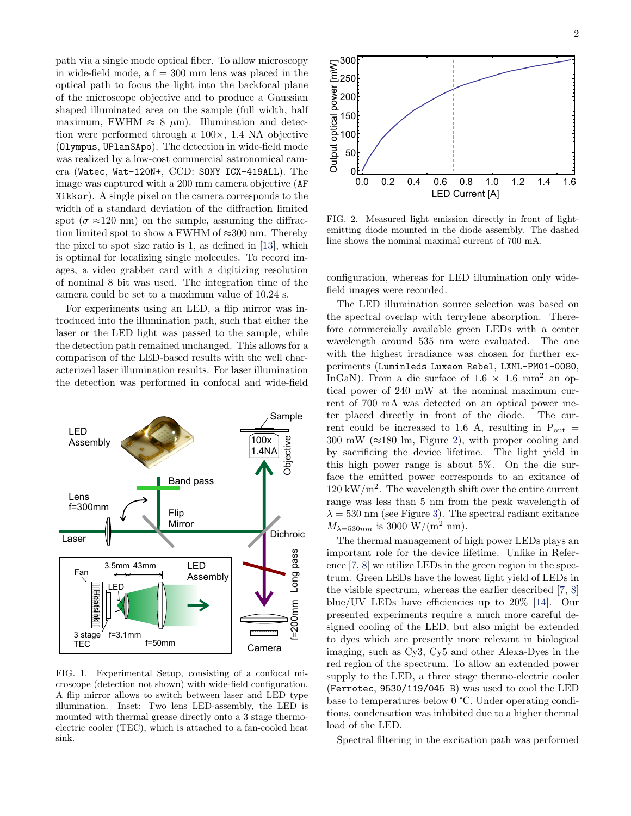path via a single mode optical fiber. To allow microscopy in wide-field mode, a  $f = 300$  mm lens was placed in the optical path to focus the light into the backfocal plane of the microscope objective and to produce a Gaussian shaped illuminated area on the sample (full width, half maximum, FWHM  $\approx 8 \mu$ m). Illumination and detection were performed through a 100×, 1.4 NA objective (Olympus, UPlanSApo). The detection in wide-field mode was realized by a low-cost commercial astronomical camera (Watec, Wat-120N+, CCD: SONY ICX-419ALL). The image was captured with a 200 mm camera objective (AF Nikkor). A single pixel on the camera corresponds to the width of a standard deviation of the diffraction limited spot ( $\sigma \approx 120$  nm) on the sample, assuming the diffraction limited spot to show a FWHM of  $\approx 300$  nm. Thereby the pixel to spot size ratio is 1, as defined in [\[13\]](#page-6-13), which is optimal for localizing single molecules. To record images, a video grabber card with a digitizing resolution of nominal 8 bit was used. The integration time of the camera could be set to a maximum value of 10.24 s.

For experiments using an LED, a flip mirror was introduced into the illumination path, such that either the laser or the LED light was passed to the sample, while the detection path remained unchanged. This allows for a comparison of the LED-based results with the well characterized laser illumination results. For laser illumination the detection was performed in confocal and wide-field



<span id="page-1-0"></span>FIG. 1. Experimental Setup, consisting of a confocal microscope (detection not shown) with wide-field configuration. A flip mirror allows to switch between laser and LED type illumination. Inset: Two lens LED-assembly, the LED is mounted with thermal grease directly onto a 3 stage thermoelectric cooler (TEC), which is attached to a fan-cooled heat sink.



<span id="page-1-1"></span>FIG. 2. Measured light emission directly in front of lightemitting diode mounted in the diode assembly. The dashed line shows the nominal maximal current of 700 mA.

configuration, whereas for LED illumination only widefield images were recorded.

The LED illumination source selection was based on the spectral overlap with terrylene absorption. Therefore commercially available green LEDs with a center wavelength around 535 nm were evaluated. The one with the highest irradiance was chosen for further experiments (Luminleds Luxeon Rebel, LXML-PM01-0080, InGaN). From a die surface of  $1.6 \times 1.6$  mm<sup>2</sup> an optical power of 240 mW at the nominal maximum current of 700 mA was detected on an optical power meter placed directly in front of the diode. The current could be increased to 1.6 A, resulting in  $P_{\text{out}} =$ 300 mW ( $\approx$ 180 lm, Figure [2\)](#page-1-1), with proper cooling and by sacrificing the device lifetime. The light yield in this high power range is about 5%. On the die surface the emitted power corresponds to an exitance of  $120 \text{ kW/m}^2$ . The wavelength shift over the entire current range was less than 5 nm from the peak wavelength of  $\lambda = 530$  nm (see Figure [3\)](#page-2-0). The spectral radiant exitance  $M_{\lambda=530nm}$  is 3000 W/(m<sup>2</sup> nm).

The thermal management of high power LEDs plays an important role for the device lifetime. Unlike in Reference [\[7,](#page-6-8) [8\]](#page-6-7) we utilize LEDs in the green region in the spectrum. Green LEDs have the lowest light yield of LEDs in the visible spectrum, whereas the earlier described [\[7,](#page-6-8) [8\]](#page-6-7) blue/UV LEDs have efficiencies up to 20% [\[14\]](#page-6-14). Our presented experiments require a much more careful designed cooling of the LED, but also might be extended to dyes which are presently more relevant in biological imaging, such as Cy3, Cy5 and other Alexa-Dyes in the red region of the spectrum. To allow an extended power supply to the LED, a three stage thermo-electric cooler (Ferrotec, 9530/119/045 B) was used to cool the LED base to temperatures below 0 °C. Under operating conditions, condensation was inhibited due to a higher thermal load of the LED.

Spectral filtering in the excitation path was performed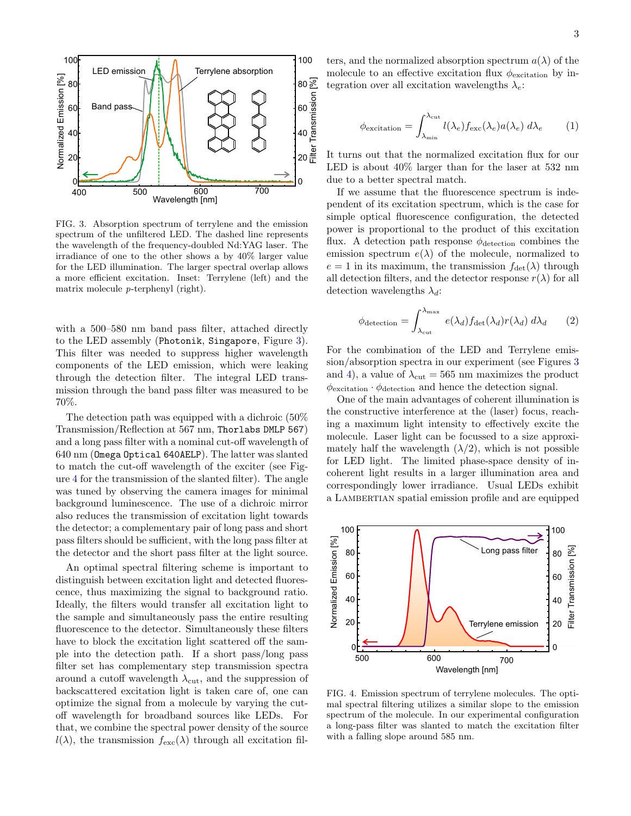

<span id="page-2-0"></span>FIG. 3. Absorption spectrum of terrylene and the emission spectrum of the unfiltered LED. The dashed line represents the wavelength of the frequency-doubled Nd:YAG laser. The irradiance of one to the other shows a by 40% larger value for the LED illumination. The larger spectral overlap allows a more efficient excitation. Inset: Terrylene (left) and the matrix molecule p-terphenyl (right).

with a 500–580 nm band pass filter, attached directly to the LED assembly (Photonik, Singapore, Figure [3\)](#page-2-0). This filter was needed to suppress higher wavelength components of the LED emission, which were leaking through the detection filter. The integral LED transmission through the band pass filter was measured to be 70%.

The detection path was equipped with a dichroic (50% Transmission/Reflection at 567 nm, Thorlabs DMLP 567) and a long pass filter with a nominal cut-off wavelength of 640 nm (Omega Optical 640AELP). The latter was slanted to match the cut-off wavelength of the exciter (see Figure [4](#page-2-1) for the transmission of the slanted filter). The angle was tuned by observing the camera images for minimal background luminescence. The use of a dichroic mirror also reduces the transmission of excitation light towards the detector; a complementary pair of long pass and short pass filters should be sufficient, with the long pass filter at the detector and the short pass filter at the light source.

An optimal spectral filtering scheme is important to distinguish between excitation light and detected fluorescence, thus maximizing the signal to background ratio. Ideally, the filters would transfer all excitation light to the sample and simultaneously pass the entire resulting fluorescence to the detector. Simultaneously these filters have to block the excitation light scattered off the sample into the detection path. If a short pass/long pass filter set has complementary step transmission spectra around a cutoff wavelength  $\lambda_{\rm cut}$ , and the suppression of backscattered excitation light is taken care of, one can optimize the signal from a molecule by varying the cutoff wavelength for broadband sources like LEDs. For that, we combine the spectral power density of the source  $l(\lambda)$ , the transmission  $f_{\text{exc}}(\lambda)$  through all excitation filters, and the normalized absorption spectrum  $a(\lambda)$  of the molecule to an effective excitation flux  $\phi_{\text{excitation}}$  by integration over all excitation wavelengths  $\lambda_e$ :

$$
\phi_{\text{excitation}} = \int_{\lambda_{\text{min}}}^{\lambda_{\text{cut}}} l(\lambda_e) f_{\text{exc}}(\lambda_e) a(\lambda_e) \, d\lambda_e \tag{1}
$$

It turns out that the normalized excitation flux for our LED is about 40% larger than for the laser at 532 nm due to a better spectral match.

If we assume that the fluorescence spectrum is independent of its excitation spectrum, which is the case for simple optical fluorescence configuration, the detected power is proportional to the product of this excitation flux. A detection path response  $\phi_{\text{detection}}$  combines the emission spectrum  $e(\lambda)$  of the molecule, normalized to  $e = 1$  in its maximum, the transmission  $f_{\text{det}}(\lambda)$  through all detection filters, and the detector response  $r(\lambda)$  for all detection wavelengths  $\lambda_d$ :

$$
\phi_{\text{detection}} = \int_{\lambda_{\text{cut}}}^{\lambda_{\text{max}}} e(\lambda_d) f_{\text{det}}(\lambda_d) r(\lambda_d) \, d\lambda_d \qquad (2)
$$

For the combination of the LED and Terrylene emission/absorption spectra in our experiment (see Figures [3](#page-2-0) and [4\)](#page-2-1), a value of  $\lambda_{\rm cut} = 565$  nm maximizes the product  $\phi_{\rm excitation} \cdot \phi_{\rm detection}$  and hence the detection signal.

One of the main advantages of coherent illumination is the constructive interference at the (laser) focus, reaching a maximum light intensity to effectively excite the molecule. Laser light can be focussed to a size approximately half the wavelength  $(\lambda/2)$ , which is not possible for LED light. The limited phase-space density of incoherent light results in a larger illumination area and correspondingly lower irradiance. Usual LEDs exhibit a LAMBERTIAN spatial emission profile and are equipped



<span id="page-2-1"></span>FIG. 4. Emission spectrum of terrylene molecules. The optimal spectral filtering utilizes a similar slope to the emission spectrum of the molecule. In our experimental configuration a long-pass filter was slanted to match the excitation filter with a falling slope around 585 nm.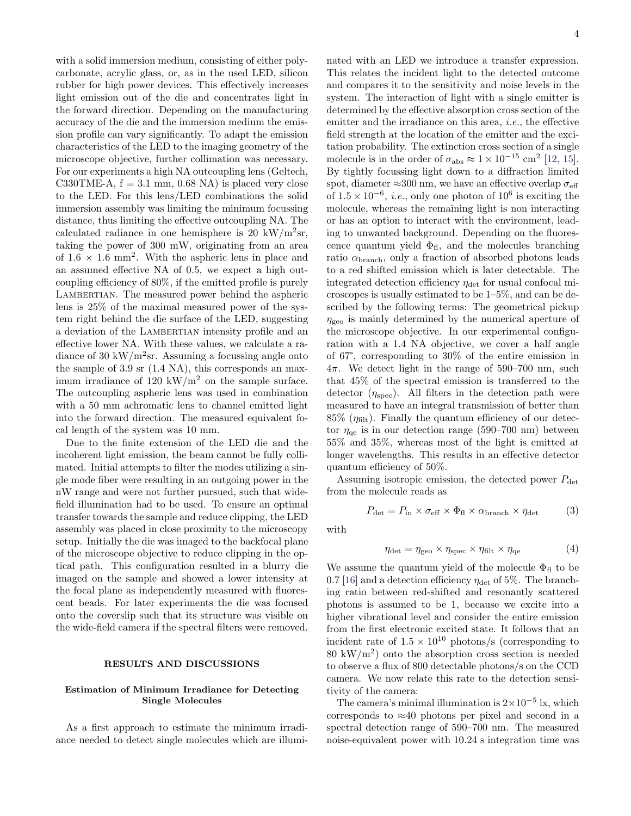with a solid immersion medium, consisting of either polycarbonate, acrylic glass, or, as in the used LED, silicon rubber for high power devices. This effectively increases light emission out of the die and concentrates light in the forward direction. Depending on the manufacturing accuracy of the die and the immersion medium the emission profile can vary significantly. To adapt the emission characteristics of the LED to the imaging geometry of the microscope objective, further collimation was necessary. For our experiments a high NA outcoupling lens (Geltech, C330TME-A,  $f = 3.1$  mm, 0.68 NA) is placed very close to the LED. For this lens/LED combinations the solid immersion assembly was limiting the minimum focussing distance, thus limiting the effective outcoupling NA. The calculated radiance in one hemisphere is 20 kW/ $\rm m^2sr$ , taking the power of 300 mW, originating from an area of  $1.6 \times 1.6$  mm<sup>2</sup>. With the aspheric lens in place and an assumed effective NA of 0.5, we expect a high outcoupling efficiency of 80%, if the emitted profile is purely LAMBERTIAN. The measured power behind the aspheric lens is 25% of the maximal measured power of the system right behind the die surface of the LED, suggesting a deviation of the LAMBERTIAN intensity profile and an effective lower NA. With these values, we calculate a radiance of 30 kW/ $m^2$ sr. Assuming a focussing angle onto the sample of 3.9 sr (1.4 NA), this corresponds an maximum irradiance of 120 kW/m<sup>2</sup> on the sample surface. The outcoupling aspheric lens was used in combination with a 50 mm achromatic lens to channel emitted light into the forward direction. The measured equivalent focal length of the system was 10 mm.

Due to the finite extension of the LED die and the incoherent light emission, the beam cannot be fully collimated. Initial attempts to filter the modes utilizing a single mode fiber were resulting in an outgoing power in the nW range and were not further pursued, such that widefield illumination had to be used. To ensure an optimal transfer towards the sample and reduce clipping, the LED assembly was placed in close proximity to the microscopy setup. Initially the die was imaged to the backfocal plane of the microscope objective to reduce clipping in the optical path. This configuration resulted in a blurry die imaged on the sample and showed a lower intensity at the focal plane as independently measured with fluorescent beads. For later experiments the die was focused onto the coverslip such that its structure was visible on the wide-field camera if the spectral filters were removed.

# RESULTS AND DISCUSSIONS

# Estimation of Minimum Irradiance for Detecting Single Molecules

As a first approach to estimate the minimum irradiance needed to detect single molecules which are illuminated with an LED we introduce a transfer expression. This relates the incident light to the detected outcome and compares it to the sensitivity and noise levels in the system. The interaction of light with a single emitter is determined by the effective absorption cross section of the emitter and the irradiance on this area, *i.e.*, the effective field strength at the location of the emitter and the excitation probability. The extinction cross section of a single molecule is in the order of  $\sigma_{\text{abs}} \approx 1 \times 10^{-15} \text{ cm}^2$  [\[12,](#page-6-12) [15\]](#page-6-15). By tightly focussing light down to a diffraction limited spot, diameter  $\approx 300$  nm, we have an effective overlap  $\sigma_{\text{eff}}$ of  $1.5 \times 10^{-6}$ , *i.e.*, only one photon of  $10^6$  is exciting the molecule, whereas the remaining light is non interacting or has an option to interact with the environment, leading to unwanted background. Depending on the fluorescence quantum yield  $\Phi_{\text{fl}}$ , and the molecules branching ratio  $\alpha_{\rm branch}$ , only a fraction of absorbed photons leads to a red shifted emission which is later detectable. The integrated detection efficiency  $\eta_{\text{det}}$  for usual confocal microscopes is usually estimated to be 1–5%, and can be described by the following terms: The geometrical pickup  $\eta_{\text{geo}}$  is mainly determined by the numerical aperture of the microscope objective. In our experimental configuration with a 1.4 NA objective, we cover a half angle of 67°, corresponding to 30% of the entire emission in  $4\pi$ . We detect light in the range of 590–700 nm, such that 45% of the spectral emission is transferred to the detector  $(\eta_{\text{spec}})$ . All filters in the detection path were measured to have an integral transmission of better than  $85\%$  ( $\eta_{\text{filt}}$ ). Finally the quantum efficiency of our detector  $\eta_{\text{qe}}$  is in our detection range (590–700 nm) between 55% and 35%, whereas most of the light is emitted at longer wavelengths. This results in an effective detector quantum efficiency of 50%.

Assuming isotropic emission, the detected power  $P_{\text{det}}$ from the molecule reads as

$$
P_{\text{det}} = P_{\text{in}} \times \sigma_{\text{eff}} \times \Phi_{\text{fl}} \times \alpha_{\text{branch}} \times \eta_{\text{det}} \tag{3}
$$

with

$$
\eta_{\text{det}} = \eta_{\text{geo}} \times \eta_{\text{spec}} \times \eta_{\text{filt}} \times \eta_{\text{qe}} \tag{4}
$$

We assume the quantum yield of the molecule  $\Phi_{\text{fl}}$  to be 0.7 [\[16\]](#page-6-16) and a detection efficiency  $\eta_{\text{det}}$  of 5%. The branching ratio between red-shifted and resonantly scattered photons is assumed to be 1, because we excite into a higher vibrational level and consider the entire emission from the first electronic excited state. It follows that an incident rate of  $1.5 \times 10^{10}$  photons/s (corresponding to  $80 \text{ kW/m}^2$  onto the absorption cross section is needed to observe a flux of 800 detectable photons/s on the CCD camera. We now relate this rate to the detection sensitivity of the camera:

The camera's minimal illumination is  $2\times10^{-5}$  k, which corresponds to  $\approx 40$  photons per pixel and second in a spectral detection range of 590–700 nm. The measured noise-equivalent power with 10.24 s integration time was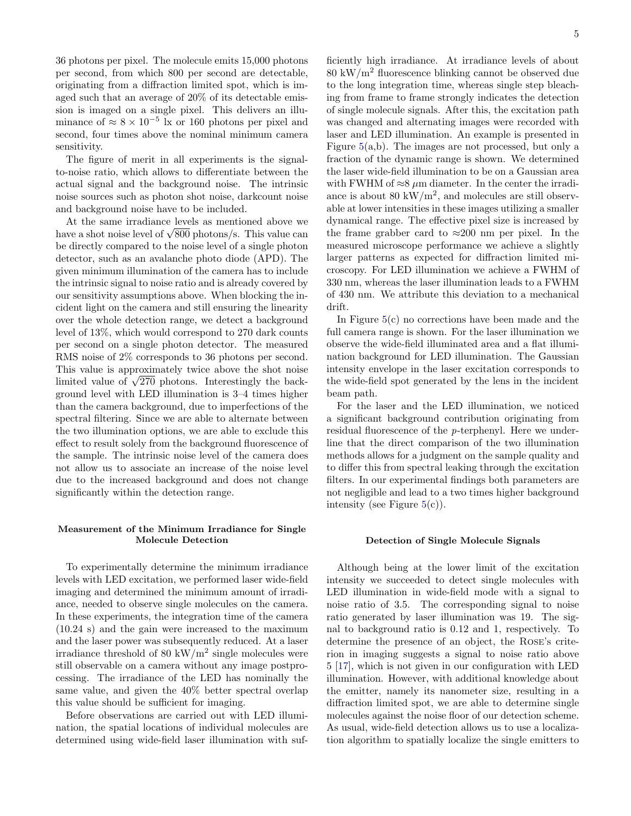36 photons per pixel. The molecule emits 15,000 photons per second, from which 800 per second are detectable, originating from a diffraction limited spot, which is imaged such that an average of 20% of its detectable emission is imaged on a single pixel. This delivers an illuminance of  $\approx 8 \times 10^{-5}$  k or 160 photons per pixel and second, four times above the nominal minimum camera sensitivity.

The figure of merit in all experiments is the signalto-noise ratio, which allows to differentiate between the actual signal and the background noise. The intrinsic noise sources such as photon shot noise, darkcount noise and background noise have to be included.

At the same irradiance levels as mentioned above we At the same irradiance levels as mentioned above we<br>have a shot noise level of  $\sqrt{800}$  photons/s. This value can be directly compared to the noise level of a single photon detector, such as an avalanche photo diode (APD). The given minimum illumination of the camera has to include the intrinsic signal to noise ratio and is already covered by our sensitivity assumptions above. When blocking the incident light on the camera and still ensuring the linearity over the whole detection range, we detect a background level of 13%, which would correspond to 270 dark counts per second on a single photon detector. The measured RMS noise of 2% corresponds to 36 photons per second. This value is approximately twice above the shot noise I his value is approximately twice above the shot holder limited value of  $\sqrt{270}$  photons. Interestingly the background level with LED illumination is 3–4 times higher than the camera background, due to imperfections of the spectral filtering. Since we are able to alternate between the two illumination options, we are able to exclude this effect to result solely from the background fluorescence of the sample. The intrinsic noise level of the camera does not allow us to associate an increase of the noise level due to the increased background and does not change significantly within the detection range.

### Measurement of the Minimum Irradiance for Single Molecule Detection

To experimentally determine the minimum irradiance levels with LED excitation, we performed laser wide-field imaging and determined the minimum amount of irradiance, needed to observe single molecules on the camera. In these experiments, the integration time of the camera (10.24 s) and the gain were increased to the maximum and the laser power was subsequently reduced. At a laser irradiance threshold of 80 kW/ $m^2$  single molecules were still observable on a camera without any image postprocessing. The irradiance of the LED has nominally the same value, and given the 40% better spectral overlap this value should be sufficient for imaging.

Before observations are carried out with LED illumination, the spatial locations of individual molecules are determined using wide-field laser illumination with suf-

ficiently high irradiance. At irradiance levels of about 80 kW/m<sup>2</sup> fluorescence blinking cannot be observed due to the long integration time, whereas single step bleaching from frame to frame strongly indicates the detection of single molecule signals. After this, the excitation path was changed and alternating images were recorded with laser and LED illumination. An example is presented in Figure  $5(a,b)$  $5(a,b)$ . The images are not processed, but only a fraction of the dynamic range is shown. We determined the laser wide-field illumination to be on a Gaussian area with FWHM of  $\approx 8 \mu m$  diameter. In the center the irradiance is about 80 kW/ $\rm m^2$ , and molecules are still observable at lower intensities in these images utilizing a smaller dynamical range. The effective pixel size is increased by the frame grabber card to  $\approx 200$  nm per pixel. In the measured microscope performance we achieve a slightly larger patterns as expected for diffraction limited microscopy. For LED illumination we achieve a FWHM of 330 nm, whereas the laser illumination leads to a FWHM of 430 nm. We attribute this deviation to a mechanical drift.

In Figure [5\(](#page-5-0)c) no corrections have been made and the full camera range is shown. For the laser illumination we observe the wide-field illuminated area and a flat illumination background for LED illumination. The Gaussian intensity envelope in the laser excitation corresponds to the wide-field spot generated by the lens in the incident beam path.

For the laser and the LED illumination, we noticed a significant background contribution originating from residual fluorescence of the p-terphenyl. Here we underline that the direct comparison of the two illumination methods allows for a judgment on the sample quality and to differ this from spectral leaking through the excitation filters. In our experimental findings both parameters are not negligible and lead to a two times higher background intensity (see Figure  $5(c)$  $5(c)$ ).

#### Detection of Single Molecule Signals

Although being at the lower limit of the excitation intensity we succeeded to detect single molecules with LED illumination in wide-field mode with a signal to noise ratio of 3.5. The corresponding signal to noise ratio generated by laser illumination was 19. The signal to background ratio is 0.12 and 1, respectively. To determine the presence of an object, the Rose's criterion in imaging suggests a signal to noise ratio above 5 [\[17\]](#page-6-17), which is not given in our configuration with LED illumination. However, with additional knowledge about the emitter, namely its nanometer size, resulting in a diffraction limited spot, we are able to determine single molecules against the noise floor of our detection scheme. As usual, wide-field detection allows us to use a localization algorithm to spatially localize the single emitters to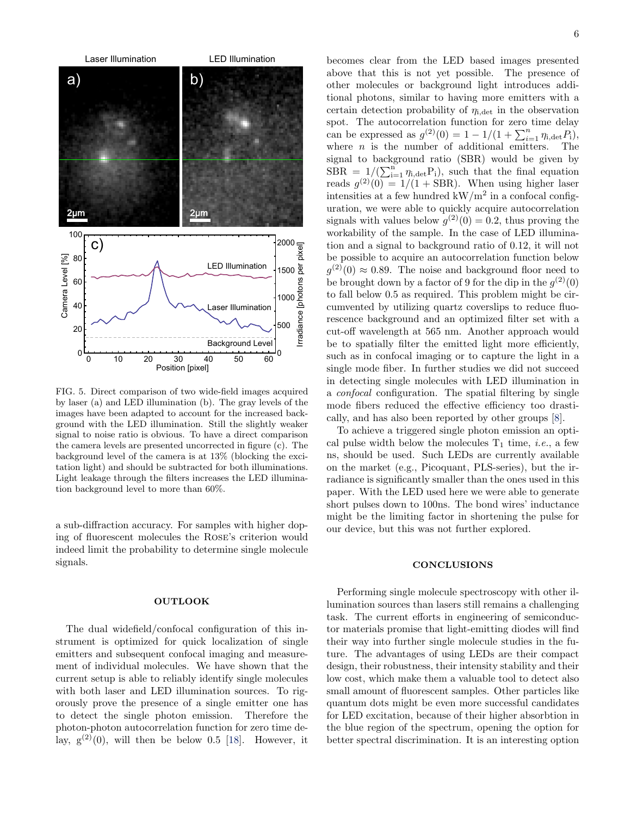

<span id="page-5-0"></span>FIG. 5. Direct comparison of two wide-field images acquired by laser (a) and LED illumination (b). The gray levels of the images have been adapted to account for the increased background with the LED illumination. Still the slightly weaker signal to noise ratio is obvious. To have a direct comparison the camera levels are presented uncorrected in figure (c). The background level of the camera is at 13% (blocking the excitation light) and should be subtracted for both illuminations. Light leakage through the filters increases the LED illumination background level to more than 60%.

a sub-diffraction accuracy. For samples with higher doping of fluorescent molecules the Rose's criterion would indeed limit the probability to determine single molecule signals.

### **OUTLOOK**

The dual widefield/confocal configuration of this instrument is optimized for quick localization of single emitters and subsequent confocal imaging and measurement of individual molecules. We have shown that the current setup is able to reliably identify single molecules with both laser and LED illumination sources. To rigorously prove the presence of a single emitter one has to detect the single photon emission. Therefore the photon-photon autocorrelation function for zero time delay,  $g^{(2)}(0)$ , will then be below 0.5 [\[18\]](#page-6-18). However, it

becomes clear from the LED based images presented above that this is not yet possible. The presence of other molecules or background light introduces additional photons, similar to having more emitters with a certain detection probability of  $\eta_{i,\text{det}}$  in the observation spot. The autocorrelation function for zero time delay can be expressed as  $g^{(2)}(0) = 1 - 1/(1 + \sum_{i=1}^{n} \eta_{i,\text{det}} P_i)$ , where  $n$  is the number of additional emitters. The signal to background ratio (SBR) would be given by  $\widehat{\text{SBR}} = 1/(\sum_{i=1}^{n} \eta_{i,\text{det}} P_i)$ , such that the final equation reads  $g^{(2)}(0) = 1/(1 + \text{SBR})$ . When using higher laser intensities at a few hundred  $kW/m^2$  in a confocal configuration, we were able to quickly acquire autocorrelation signals with values below  $g^{(2)}(0) = 0.2$ , thus proving the workability of the sample. In the case of LED illumination and a signal to background ratio of 0.12, it will not be possible to acquire an autocorrelation function below  $g^{(2)}(0) \approx 0.89$ . The noise and background floor need to be brought down by a factor of 9 for the dip in the  $g^{(2)}(0)$ to fall below 0.5 as required. This problem might be circumvented by utilizing quartz coverslips to reduce fluorescence background and an optimized filter set with a cut-off wavelength at 565 nm. Another approach would be to spatially filter the emitted light more efficiently, such as in confocal imaging or to capture the light in a single mode fiber. In further studies we did not succeed in detecting single molecules with LED illumination in a confocal configuration. The spatial filtering by single mode fibers reduced the effective efficiency too drastically, and has also been reported by other groups [\[8\]](#page-6-7).

To achieve a triggered single photon emission an optical pulse width below the molecules  $T_1$  time, *i.e.*, a few ns, should be used. Such LEDs are currently available on the market (e.g., Picoquant, PLS-series), but the irradiance is significantly smaller than the ones used in this paper. With the LED used here we were able to generate short pulses down to 100ns. The bond wires' inductance might be the limiting factor in shortening the pulse for our device, but this was not further explored.

# **CONCLUSIONS**

Performing single molecule spectroscopy with other illumination sources than lasers still remains a challenging task. The current efforts in engineering of semiconductor materials promise that light-emitting diodes will find their way into further single molecule studies in the future. The advantages of using LEDs are their compact design, their robustness, their intensity stability and their low cost, which make them a valuable tool to detect also small amount of fluorescent samples. Other particles like quantum dots might be even more successful candidates for LED excitation, because of their higher absorbtion in the blue region of the spectrum, opening the option for better spectral discrimination. It is an interesting option